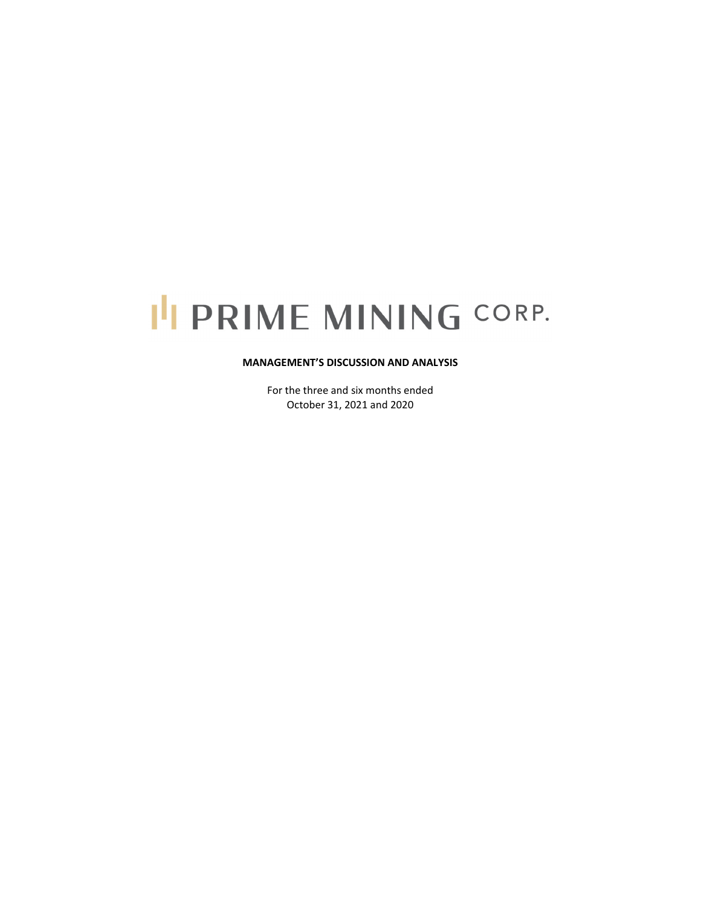# I'I PRIME MINING CORP.

#### **MANAGEMENT'S DISCUSSION AND ANALYSIS**

For the three and six months ended October 31, 2021 and 2020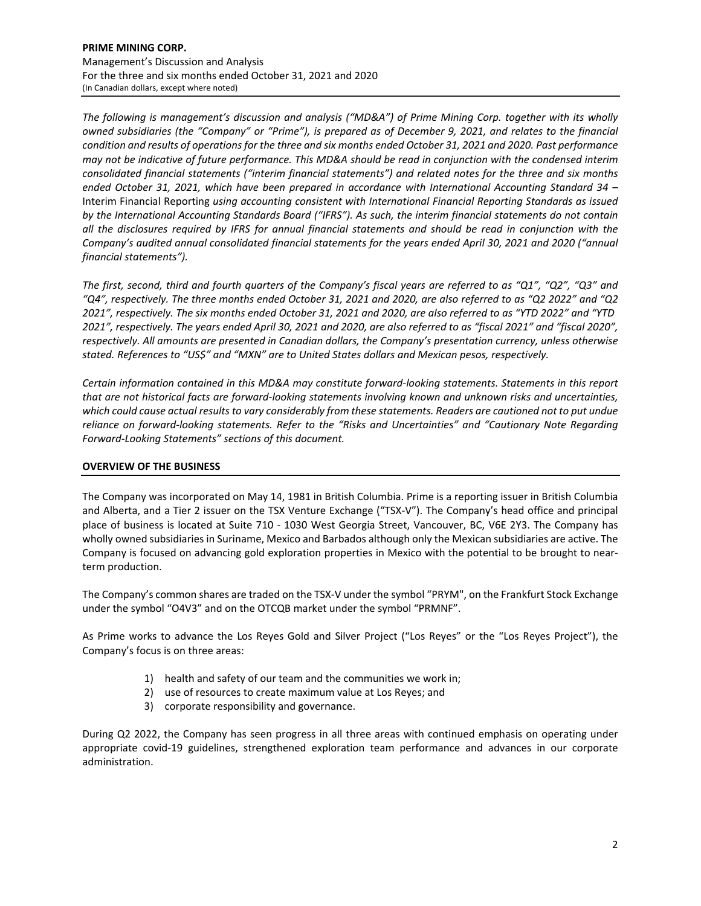*The following is management's discussion and analysis ("MD&A") of Prime Mining Corp. together with its wholly* owned subsidiaries (the "Company" or "Prime"), is prepared as of December 9, 2021, and relates to the financial condition and results of operations for the three and six months ended October 31, 2021 and 2020. Past performance may not be indicative of future performance. This MD&A should be read in conjunction with the condensed interim *consolidated financial statements ("interim financial statements") and related notes for the three and six months ended October 31, 2021, which have been prepared in accordance with International Accounting Standard 34 –* Interim Financial Reporting *using accounting consistent with International Financial Reporting Standards as issued* by the International Accounting Standards Board ("IFRS"). As such, the interim financial statements do not contain all the disclosures required by IFRS for annual financial statements and should be read in conjunction with the *Company's audited annual consolidated financial statements for the years ended April 30, 2021 and 2020 ("annual financial statements").*

The first, second, third and fourth quarters of the Company's fiscal years are referred to as "Q1", "Q2", "Q3" and "Q4", respectively. The three months ended October 31, 2021 and 2020, are also referred to as "Q2 2022" and "Q2 2021", respectively. The six months ended October 31, 2021 and 2020, are also referred to as "YTD 2022" and "YTD 2021", respectively. The years ended April 30, 2021 and 2020, are also referred to as "fiscal 2021" and "fiscal 2020", *respectively. All amounts are presented in Canadian dollars, the Company's presentation currency, unless otherwise stated. References to "US\$" and "MXN" are to United States dollars and Mexican pesos, respectively.*

*Certain information contained in this MD&A may constitute forward‐looking statements. Statements in this report* that are not historical facts are forward-looking statements involving known and unknown risks and uncertainties, which could cause actual results to vary considerably from these statements. Readers are cautioned not to put undue *reliance on forward‐looking statements. Refer to the "Risks and Uncertainties" and "Cautionary Note Regarding Forward‐Looking Statements" sections of this document.* 

# **OVERVIEW OF THE BUSINESS**

The Company was incorporated on May 14, 1981 in British Columbia. Prime is a reporting issuer in British Columbia and Alberta, and a Tier 2 issuer on the TSX Venture Exchange ("TSX-V"). The Company's head office and principal place of business is located at Suite 710 ‐ 1030 West Georgia Street, Vancouver, BC, V6E 2Y3. The Company has wholly owned subsidiaries in Suriname, Mexico and Barbados although only the Mexican subsidiaries are active. The Company is focused on advancing gold exploration properties in Mexico with the potential to be brought to near‐ term production.

The Company's common shares are traded on the TSX‐V under the symbol "PRYM", on the Frankfurt Stock Exchange under the symbol "O4V3" and on the OTCQB market under the symbol "PRMNF".

As Prime works to advance the Los Reyes Gold and Silver Project ("Los Reyes" or the "Los Reyes Project"), the Company's focus is on three areas:

- 1) health and safety of our team and the communities we work in;
- 2) use of resources to create maximum value at Los Reyes; and
- 3) corporate responsibility and governance.

During Q2 2022, the Company has seen progress in all three areas with continued emphasis on operating under appropriate covid‐19 guidelines, strengthened exploration team performance and advances in our corporate administration.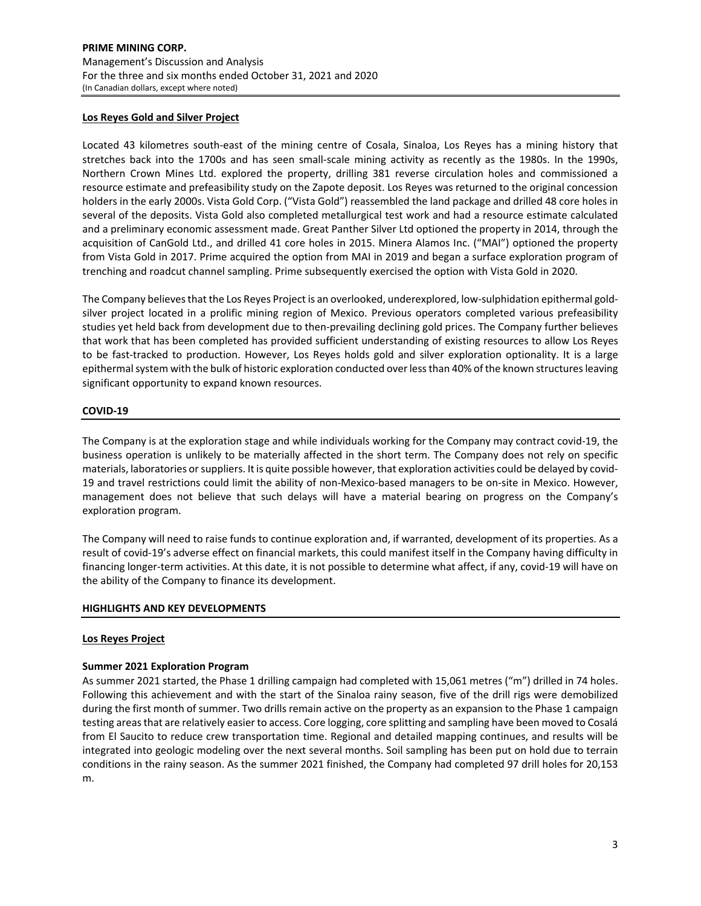# **Los Reyes Gold and Silver Project**

Located 43 kilometres south‐east of the mining centre of Cosala, Sinaloa, Los Reyes has a mining history that stretches back into the 1700s and has seen small‐scale mining activity as recently as the 1980s. In the 1990s, Northern Crown Mines Ltd. explored the property, drilling 381 reverse circulation holes and commissioned a resource estimate and prefeasibility study on the Zapote deposit. Los Reyes was returned to the original concession holders in the early 2000s. Vista Gold Corp. ("Vista Gold") reassembled the land package and drilled 48 core holes in several of the deposits. Vista Gold also completed metallurgical test work and had a resource estimate calculated and a preliminary economic assessment made. Great Panther Silver Ltd optioned the property in 2014, through the acquisition of CanGold Ltd., and drilled 41 core holes in 2015. Minera Alamos Inc. ("MAI") optioned the property from Vista Gold in 2017. Prime acquired the option from MAI in 2019 and began a surface exploration program of trenching and roadcut channel sampling. Prime subsequently exercised the option with Vista Gold in 2020.

The Company believes that the Los Reyes Project is an overlooked, underexplored, low-sulphidation epithermal goldsilver project located in a prolific mining region of Mexico. Previous operators completed various prefeasibility studies yet held back from development due to then‐prevailing declining gold prices. The Company further believes that work that has been completed has provided sufficient understanding of existing resources to allow Los Reyes to be fast-tracked to production. However, Los Reyes holds gold and silver exploration optionality. It is a large epithermal system with the bulk of historic exploration conducted over less than 40% of the known structures leaving significant opportunity to expand known resources.

#### **COVID‐19**

The Company is at the exploration stage and while individuals working for the Company may contract covid‐19, the business operation is unlikely to be materially affected in the short term. The Company does not rely on specific materials, laboratories orsuppliers. It is quite possible however, that exploration activities could be delayed by covid‐ 19 and travel restrictions could limit the ability of non-Mexico-based managers to be on-site in Mexico. However, management does not believe that such delays will have a material bearing on progress on the Company's exploration program.

The Company will need to raise funds to continue exploration and, if warranted, development of its properties. As a result of covid‐19's adverse effect on financial markets, this could manifest itself in the Company having difficulty in financing longer‐term activities. At this date, it is not possible to determine what affect, if any, covid‐19 will have on the ability of the Company to finance its development.

#### **HIGHLIGHTS AND KEY DEVELOPMENTS**

#### **Los Reyes Project**

#### **Summer 2021 Exploration Program**

As summer 2021 started, the Phase 1 drilling campaign had completed with 15,061 metres ("m") drilled in 74 holes. Following this achievement and with the start of the Sinaloa rainy season, five of the drill rigs were demobilized during the first month of summer. Two drills remain active on the property as an expansion to the Phase 1 campaign testing areasthat are relatively easier to access. Core logging, core splitting and sampling have been moved to Cosalá from El Saucito to reduce crew transportation time. Regional and detailed mapping continues, and results will be integrated into geologic modeling over the next several months. Soil sampling has been put on hold due to terrain conditions in the rainy season. As the summer 2021 finished, the Company had completed 97 drill holes for 20,153 m.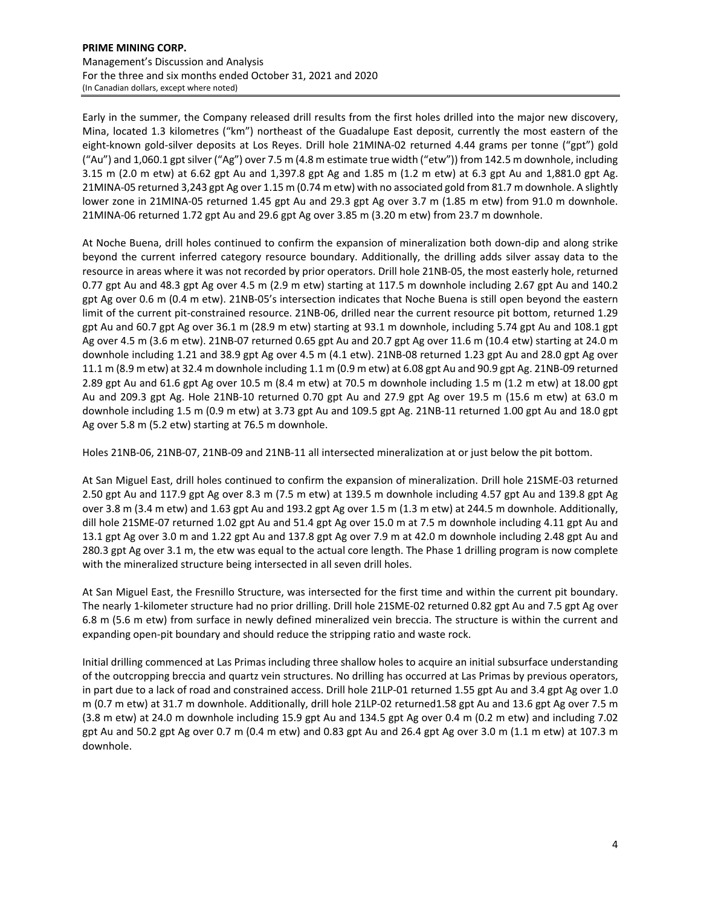Early in the summer, the Company released drill results from the first holes drilled into the major new discovery, Mina, located 1.3 kilometres ("km") northeast of the Guadalupe East deposit, currently the most eastern of the eight‐known gold‐silver deposits at Los Reyes. Drill hole 21MINA‐02 returned 4.44 grams per tonne ("gpt") gold ("Au") and 1,060.1 gpt silver ("Ag") over 7.5 m (4.8 m estimate true width ("etw")) from 142.5 m downhole, including 3.15 m (2.0 m etw) at 6.62 gpt Au and 1,397.8 gpt Ag and 1.85 m (1.2 m etw) at 6.3 gpt Au and 1,881.0 gpt Ag. 21MINA‐05 returned 3,243 gpt Ag over 1.15 m (0.74 m etw) with no associated gold from 81.7 m downhole. A slightly lower zone in 21MINA‐05 returned 1.45 gpt Au and 29.3 gpt Ag over 3.7 m (1.85 m etw) from 91.0 m downhole. 21MINA‐06 returned 1.72 gpt Au and 29.6 gpt Ag over 3.85 m (3.20 m etw) from 23.7 m downhole.

At Noche Buena, drill holes continued to confirm the expansion of mineralization both down‐dip and along strike beyond the current inferred category resource boundary. Additionally, the drilling adds silver assay data to the resource in areas where it was not recorded by prior operators. Drill hole 21NB‐05, the most easterly hole, returned 0.77 gpt Au and 48.3 gpt Ag over 4.5 m (2.9 m etw) starting at 117.5 m downhole including 2.67 gpt Au and 140.2 gpt Ag over 0.6 m (0.4 m etw). 21NB‐05's intersection indicates that Noche Buena is still open beyond the eastern limit of the current pit-constrained resource. 21NB-06, drilled near the current resource pit bottom, returned 1.29 gpt Au and 60.7 gpt Ag over 36.1 m (28.9 m etw) starting at 93.1 m downhole, including 5.74 gpt Au and 108.1 gpt Ag over 4.5 m (3.6 m etw). 21NB‐07 returned 0.65 gpt Au and 20.7 gpt Ag over 11.6 m (10.4 etw) starting at 24.0 m downhole including 1.21 and 38.9 gpt Ag over 4.5 m (4.1 etw). 21NB‐08 returned 1.23 gpt Au and 28.0 gpt Ag over 11.1 m (8.9 m etw) at 32.4 m downhole including 1.1 m (0.9 m etw) at 6.08 gpt Au and 90.9 gpt Ag. 21NB‐09 returned 2.89 gpt Au and 61.6 gpt Ag over 10.5 m (8.4 m etw) at 70.5 m downhole including 1.5 m (1.2 m etw) at 18.00 gpt Au and 209.3 gpt Ag. Hole 21NB‐10 returned 0.70 gpt Au and 27.9 gpt Ag over 19.5 m (15.6 m etw) at 63.0 m downhole including 1.5 m (0.9 m etw) at 3.73 gpt Au and 109.5 gpt Ag. 21NB‐11 returned 1.00 gpt Au and 18.0 gpt Ag over 5.8 m (5.2 etw) starting at 76.5 m downhole.

Holes 21NB‐06, 21NB‐07, 21NB‐09 and 21NB‐11 all intersected mineralization at or just below the pit bottom.

At San Miguel East, drill holes continued to confirm the expansion of mineralization. Drill hole 21SME‐03 returned 2.50 gpt Au and 117.9 gpt Ag over 8.3 m (7.5 m etw) at 139.5 m downhole including 4.57 gpt Au and 139.8 gpt Ag over 3.8 m (3.4 m etw) and 1.63 gpt Au and 193.2 gpt Ag over 1.5 m (1.3 m etw) at 244.5 m downhole. Additionally, dill hole 21SME‐07 returned 1.02 gpt Au and 51.4 gpt Ag over 15.0 m at 7.5 m downhole including 4.11 gpt Au and 13.1 gpt Ag over 3.0 m and 1.22 gpt Au and 137.8 gpt Ag over 7.9 m at 42.0 m downhole including 2.48 gpt Au and 280.3 gpt Ag over 3.1 m, the etw was equal to the actual core length. The Phase 1 drilling program is now complete with the mineralized structure being intersected in all seven drill holes.

At San Miguel East, the Fresnillo Structure, was intersected for the first time and within the current pit boundary. The nearly 1‐kilometer structure had no prior drilling. Drill hole 21SME‐02 returned 0.82 gpt Au and 7.5 gpt Ag over 6.8 m (5.6 m etw) from surface in newly defined mineralized vein breccia. The structure is within the current and expanding open‐pit boundary and should reduce the stripping ratio and waste rock.

Initial drilling commenced at Las Primas including three shallow holes to acquire an initial subsurface understanding of the outcropping breccia and quartz vein structures. No drilling has occurred at Las Primas by previous operators, in part due to a lack of road and constrained access. Drill hole 21LP‐01 returned 1.55 gpt Au and 3.4 gpt Ag over 1.0 m (0.7 m etw) at 31.7 m downhole. Additionally, drill hole 21LP‐02 returned1.58 gpt Au and 13.6 gpt Ag over 7.5 m (3.8 m etw) at 24.0 m downhole including 15.9 gpt Au and 134.5 gpt Ag over 0.4 m (0.2 m etw) and including 7.02 gpt Au and 50.2 gpt Ag over 0.7 m (0.4 m etw) and 0.83 gpt Au and 26.4 gpt Ag over 3.0 m (1.1 m etw) at 107.3 m downhole.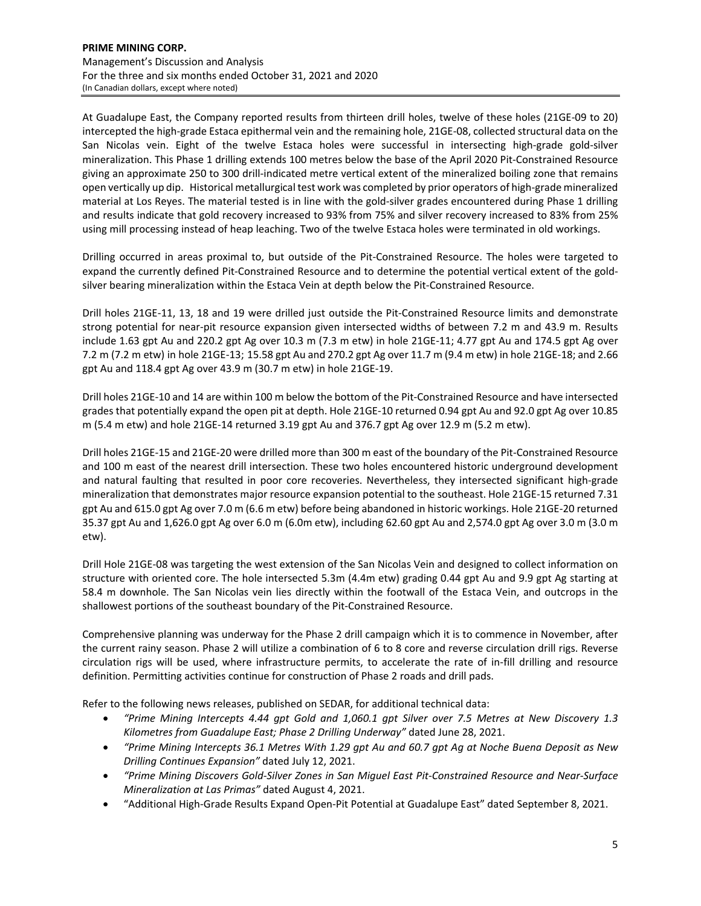At Guadalupe East, the Company reported results from thirteen drill holes, twelve of these holes (21GE‐09 to 20) intercepted the high‐grade Estaca epithermal vein and the remaining hole, 21GE‐08, collected structural data on the San Nicolas vein. Eight of the twelve Estaca holes were successful in intersecting high‐grade gold‐silver mineralization. This Phase 1 drilling extends 100 metres below the base of the April 2020 Pit‐Constrained Resource giving an approximate 250 to 300 drill-indicated metre vertical extent of the mineralized boiling zone that remains open vertically up dip. Historical metallurgical test work was completed by prior operators of high‐grade mineralized material at Los Reyes. The material tested is in line with the gold‐silver grades encountered during Phase 1 drilling and results indicate that gold recovery increased to 93% from 75% and silver recovery increased to 83% from 25% using mill processing instead of heap leaching. Two of the twelve Estaca holes were terminated in old workings.

Drilling occurred in areas proximal to, but outside of the Pit‐Constrained Resource. The holes were targeted to expand the currently defined Pit-Constrained Resource and to determine the potential vertical extent of the goldsilver bearing mineralization within the Estaca Vein at depth below the Pit‐Constrained Resource.

Drill holes 21GE‐11, 13, 18 and 19 were drilled just outside the Pit‐Constrained Resource limits and demonstrate strong potential for near‐pit resource expansion given intersected widths of between 7.2 m and 43.9 m. Results include 1.63 gpt Au and 220.2 gpt Ag over 10.3 m (7.3 m etw) in hole 21GE‐11; 4.77 gpt Au and 174.5 gpt Ag over 7.2 m (7.2 m etw) in hole 21GE‐13; 15.58 gpt Au and 270.2 gpt Ag over 11.7 m (9.4 m etw) in hole 21GE‐18; and 2.66 gpt Au and 118.4 gpt Ag over 43.9 m (30.7 m etw) in hole 21GE‐19.

Drill holes 21GE‐10 and 14 are within 100 m below the bottom of the Pit‐Constrained Resource and have intersected grades that potentially expand the open pit at depth. Hole 21GE‐10 returned 0.94 gpt Au and 92.0 gpt Ag over 10.85 m (5.4 m etw) and hole 21GE‐14 returned 3.19 gpt Au and 376.7 gpt Ag over 12.9 m (5.2 m etw).

Drill holes 21GE‐15 and 21GE‐20 were drilled more than 300 m east of the boundary of the Pit‐Constrained Resource and 100 m east of the nearest drill intersection. These two holes encountered historic underground development and natural faulting that resulted in poor core recoveries. Nevertheless, they intersected significant high-grade mineralization that demonstrates major resource expansion potential to the southeast. Hole 21GE‐15 returned 7.31 gpt Au and 615.0 gpt Ag over 7.0 m (6.6 m etw) before being abandoned in historic workings. Hole 21GE‐20 returned 35.37 gpt Au and 1,626.0 gpt Ag over 6.0 m (6.0m etw), including 62.60 gpt Au and 2,574.0 gpt Ag over 3.0 m (3.0 m etw).

Drill Hole 21GE‐08 was targeting the west extension of the San Nicolas Vein and designed to collect information on structure with oriented core. The hole intersected 5.3m (4.4m etw) grading 0.44 gpt Au and 9.9 gpt Ag starting at 58.4 m downhole. The San Nicolas vein lies directly within the footwall of the Estaca Vein, and outcrops in the shallowest portions of the southeast boundary of the Pit‐Constrained Resource.

Comprehensive planning was underway for the Phase 2 drill campaign which it is to commence in November, after the current rainy season. Phase 2 will utilize a combination of 6 to 8 core and reverse circulation drill rigs. Reverse circulation rigs will be used, where infrastructure permits, to accelerate the rate of in‐fill drilling and resource definition. Permitting activities continue for construction of Phase 2 roads and drill pads.

Refer to the following news releases, published on SEDAR, for additional technical data:

- *"Prime Mining Intercepts 4.44 gpt Gold and 1,060.1 gpt Silver over 7.5 Metres at New Discovery 1.3 Kilometres from Guadalupe East; Phase 2 Drilling Underway"* dated June 28, 2021.
- "Prime Mining Intercepts 36.1 Metres With 1.29 gpt Au and 60.7 gpt Ag at Noche Buena Deposit as New *Drilling Continues Expansion"* dated July 12, 2021.
- "Prime Mining Discovers Gold-Silver Zones in San Miquel East Pit-Constrained Resource and Near-Surface *Mineralization at Las Primas"* dated August 4, 2021.
- "Additional High‐Grade Results Expand Open‐Pit Potential at Guadalupe East" dated September 8, 2021.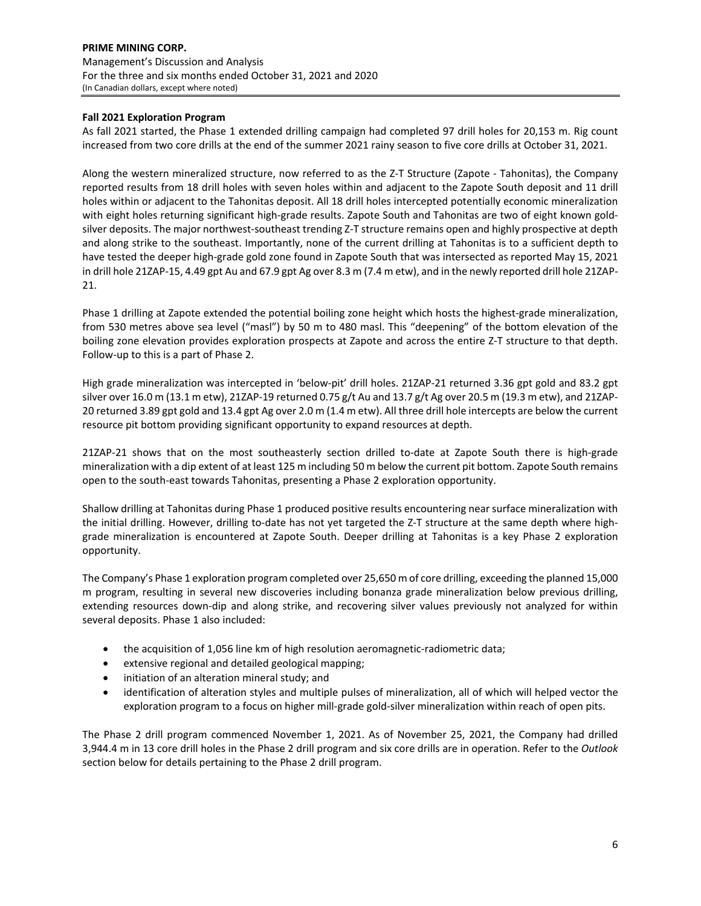# **Fall 2021 Exploration Program**

As fall 2021 started, the Phase 1 extended drilling campaign had completed 97 drill holes for 20,153 m. Rig count increased from two core drills at the end of the summer 2021 rainy season to five core drills at October 31, 2021.

Along the western mineralized structure, now referred to as the Z‐T Structure (Zapote ‐ Tahonitas), the Company reported results from 18 drill holes with seven holes within and adjacent to the Zapote South deposit and 11 drill holes within or adjacent to the Tahonitas deposit. All 18 drill holes intercepted potentially economic mineralization with eight holes returning significant high‐grade results. Zapote South and Tahonitas are two of eight known gold‐ silver deposits. The major northwest-southeast trending Z-T structure remains open and highly prospective at depth and along strike to the southeast. Importantly, none of the current drilling at Tahonitas is to a sufficient depth to have tested the deeper high-grade gold zone found in Zapote South that was intersected as reported May 15, 2021 in drill hole 21ZAP‐15, 4.49 gpt Au and 67.9 gpt Ag over 8.3 m (7.4 m etw), and in the newly reported drill hole 21ZAP‐ 21.

Phase 1 drilling at Zapote extended the potential boiling zone height which hosts the highest-grade mineralization, from 530 metres above sea level ("masl") by 50 m to 480 masl. This "deepening" of the bottom elevation of the boiling zone elevation provides exploration prospects at Zapote and across the entire Z‐T structure to that depth. Follow‐up to this is a part of Phase 2.

High grade mineralization was intercepted in 'below‐pit' drill holes. 21ZAP‐21 returned 3.36 gpt gold and 83.2 gpt silver over 16.0 m (13.1 m etw), 21ZAP-19 returned 0.75 g/t Au and 13.7 g/t Ag over 20.5 m (19.3 m etw), and 21ZAP-20 returned 3.89 gpt gold and 13.4 gpt Ag over 2.0 m (1.4 m etw). All three drill hole intercepts are below the current resource pit bottom providing significant opportunity to expand resources at depth.

21ZAP‐21 shows that on the most southeasterly section drilled to‐date at Zapote South there is high‐grade mineralization with a dip extent of at least 125 m including 50 m below the current pit bottom. Zapote South remains open to the south‐east towards Tahonitas, presenting a Phase 2 exploration opportunity.

Shallow drilling at Tahonitas during Phase 1 produced positive results encountering near surface mineralization with the initial drilling. However, drilling to-date has not yet targeted the Z-T structure at the same depth where highgrade mineralization is encountered at Zapote South. Deeper drilling at Tahonitas is a key Phase 2 exploration opportunity.

The Company's Phase 1 exploration program completed over 25,650 m of core drilling, exceeding the planned 15,000 m program, resulting in several new discoveries including bonanza grade mineralization below previous drilling, extending resources down‐dip and along strike, and recovering silver values previously not analyzed for within several deposits. Phase 1 also included:

- the acquisition of 1,056 line km of high resolution aeromagnetic-radiometric data;
- extensive regional and detailed geological mapping;
- initiation of an alteration mineral study; and
- identification of alteration styles and multiple pulses of mineralization, all of which will helped vector the exploration program to a focus on higher mill-grade gold-silver mineralization within reach of open pits.

The Phase 2 drill program commenced November 1, 2021. As of November 25, 2021, the Company had drilled 3,944.4 m in 13 core drill holes in the Phase 2 drill program and six core drills are in operation. Refer to the *Outlook* section below for details pertaining to the Phase 2 drill program.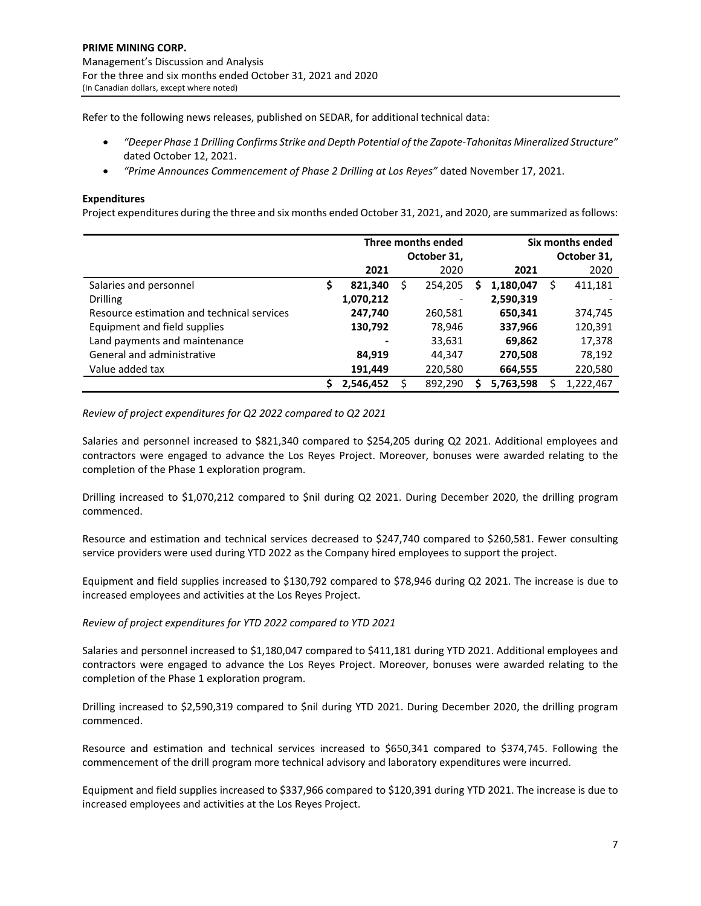Refer to the following news releases, published on SEDAR, for additional technical data:

- *"Deeper Phase 1 Drilling Confirms Strike and Depth Potential of the Zapote‐Tahonitas Mineralized Structure"* dated October 12, 2021.
- *"Prime Announces Commencement of Phase 2 Drilling at Los Reyes"* dated November 17, 2021.

# **Expenditures**

Project expenditures during the three and six months ended October 31, 2021, and 2020, are summarized asfollows:

|                                            |    |                          | Three months ended<br>October 31, |   |           |   | Six months ended<br>October 31, |
|--------------------------------------------|----|--------------------------|-----------------------------------|---|-----------|---|---------------------------------|
|                                            |    | 2021                     | 2020                              |   | 2021      |   | 2020                            |
| Salaries and personnel                     | \$ | 821,340                  | 254,205                           | S | 1,180,047 | S | 411,181                         |
| <b>Drilling</b>                            |    | 1,070,212                |                                   |   | 2,590,319 |   |                                 |
| Resource estimation and technical services |    | 247,740                  | 260,581                           |   | 650,341   |   | 374,745                         |
| Equipment and field supplies               |    | 130,792                  | 78,946                            |   | 337,966   |   | 120,391                         |
| Land payments and maintenance              |    | $\overline{\phantom{a}}$ | 33,631                            |   | 69,862    |   | 17,378                          |
| General and administrative                 |    | 84,919                   | 44,347                            |   | 270,508   |   | 78,192                          |
| Value added tax                            |    | 191,449                  | 220,580                           |   | 664,555   |   | 220,580                         |
|                                            | Ś  | 2,546,452                | 892,290                           |   | 5,763,598 |   | 1,222,467                       |

# *Review of project expenditures for Q2 2022 compared to Q2 2021*

Salaries and personnel increased to \$821,340 compared to \$254,205 during Q2 2021. Additional employees and contractors were engaged to advance the Los Reyes Project. Moreover, bonuses were awarded relating to the completion of the Phase 1 exploration program.

Drilling increased to \$1,070,212 compared to \$nil during Q2 2021. During December 2020, the drilling program commenced.

Resource and estimation and technical services decreased to \$247,740 compared to \$260,581. Fewer consulting service providers were used during YTD 2022 as the Company hired employees to support the project.

Equipment and field supplies increased to \$130,792 compared to \$78,946 during Q2 2021. The increase is due to increased employees and activities at the Los Reyes Project.

#### *Review of project expenditures for YTD 2022 compared to YTD 2021*

Salaries and personnel increased to \$1,180,047 compared to \$411,181 during YTD 2021. Additional employees and contractors were engaged to advance the Los Reyes Project. Moreover, bonuses were awarded relating to the completion of the Phase 1 exploration program.

Drilling increased to \$2,590,319 compared to \$nil during YTD 2021. During December 2020, the drilling program commenced.

Resource and estimation and technical services increased to \$650,341 compared to \$374,745. Following the commencement of the drill program more technical advisory and laboratory expenditures were incurred.

Equipment and field supplies increased to \$337,966 compared to \$120,391 during YTD 2021. The increase is due to increased employees and activities at the Los Reyes Project.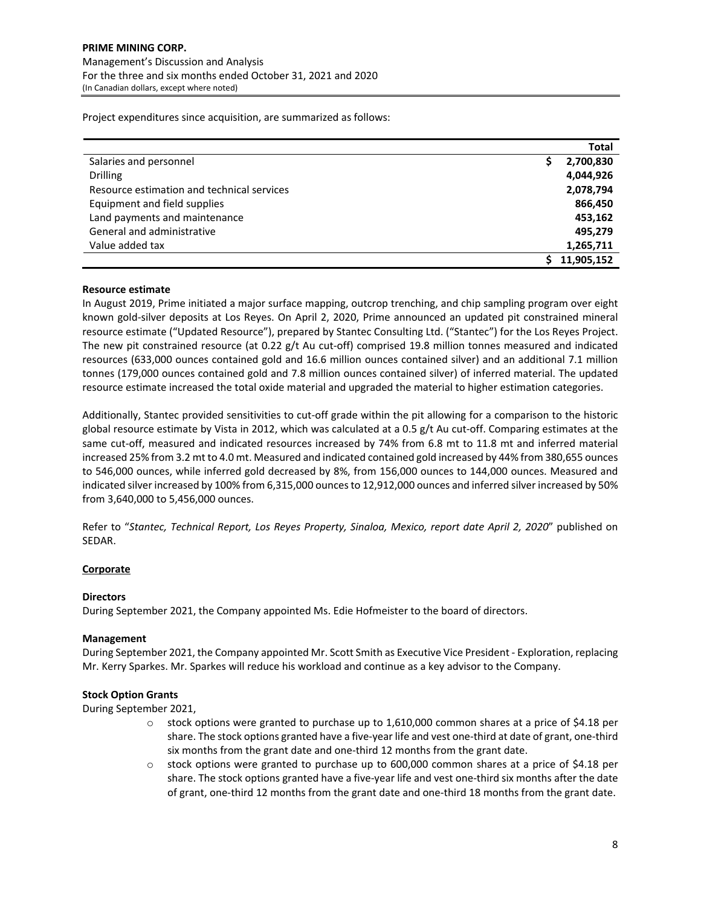Project expenditures since acquisition, are summarized as follows:

|                                            | Total      |
|--------------------------------------------|------------|
| Salaries and personnel                     | 2,700,830  |
| <b>Drilling</b>                            | 4,044,926  |
| Resource estimation and technical services | 2,078,794  |
| Equipment and field supplies               | 866,450    |
| Land payments and maintenance              | 453,162    |
| General and administrative                 | 495.279    |
| Value added tax                            | 1,265,711  |
|                                            | 11,905,152 |

# **Resource estimate**

In August 2019, Prime initiated a major surface mapping, outcrop trenching, and chip sampling program over eight known gold‐silver deposits at Los Reyes. On April 2, 2020, Prime announced an updated pit constrained mineral resource estimate ("Updated Resource"), prepared by Stantec Consulting Ltd. ("Stantec") for the Los Reyes Project. The new pit constrained resource (at 0.22 g/t Au cut-off) comprised 19.8 million tonnes measured and indicated resources (633,000 ounces contained gold and 16.6 million ounces contained silver) and an additional 7.1 million tonnes (179,000 ounces contained gold and 7.8 million ounces contained silver) of inferred material. The updated resource estimate increased the total oxide material and upgraded the material to higher estimation categories.

Additionally, Stantec provided sensitivities to cut-off grade within the pit allowing for a comparison to the historic global resource estimate by Vista in 2012, which was calculated at a 0.5 g/t Au cut-off. Comparing estimates at the same cut-off, measured and indicated resources increased by 74% from 6.8 mt to 11.8 mt and inferred material increased 25% from 3.2 mt to 4.0 mt. Measured and indicated contained gold increased by 44% from 380,655 ounces to 546,000 ounces, while inferred gold decreased by 8%, from 156,000 ounces to 144,000 ounces. Measured and indicated silver increased by 100% from 6,315,000 ounces to 12,912,000 ounces and inferred silver increased by 50% from 3,640,000 to 5,456,000 ounces.

Refer to "*Stantec, Technical Report, Los Reyes Property, Sinaloa, Mexico, report date April 2, 2020*" published on SEDAR.

# **Corporate**

#### **Directors**

During September 2021, the Company appointed Ms. Edie Hofmeister to the board of directors.

#### **Management**

During September 2021, the Company appointed Mr. Scott Smith as Executive Vice President ‐ Exploration, replacing Mr. Kerry Sparkes. Mr. Sparkes will reduce his workload and continue as a key advisor to the Company.

#### **Stock Option Grants**

During September 2021,

- $\circ$  stock options were granted to purchase up to 1,610,000 common shares at a price of \$4.18 per share. The stock options granted have a five‐year life and vest one‐third at date of grant, one‐third six months from the grant date and one‐third 12 months from the grant date.
- $\circ$  stock options were granted to purchase up to 600,000 common shares at a price of \$4.18 per share. The stock options granted have a five-year life and vest one-third six months after the date of grant, one-third 12 months from the grant date and one-third 18 months from the grant date.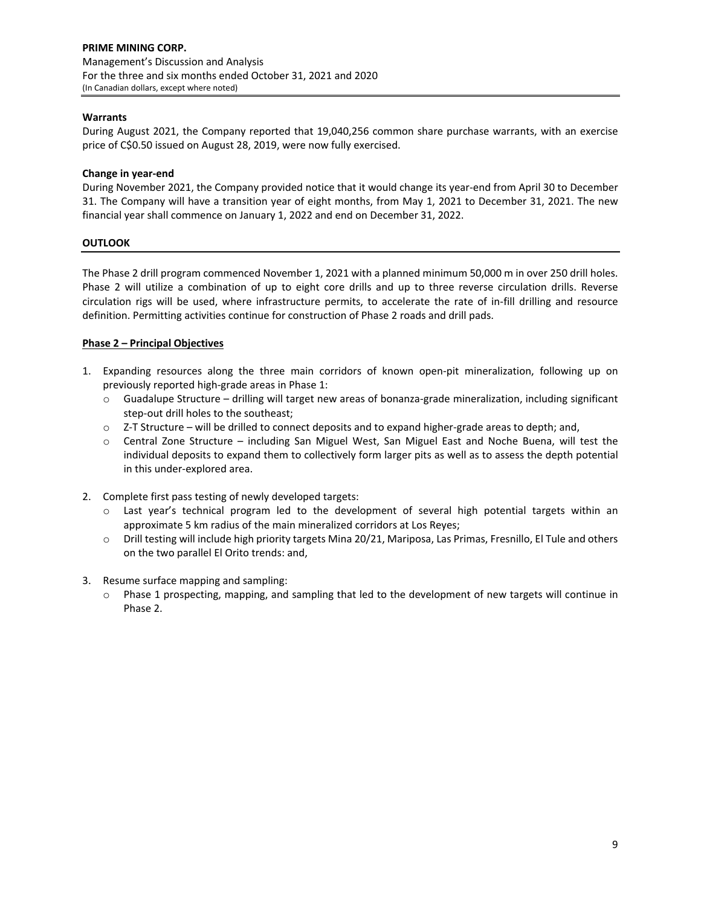# **Warrants**

During August 2021, the Company reported that 19,040,256 common share purchase warrants, with an exercise price of C\$0.50 issued on August 28, 2019, were now fully exercised.

### **Change in year‐end**

During November 2021, the Company provided notice that it would change its year‐end from April 30 to December 31. The Company will have a transition year of eight months, from May 1, 2021 to December 31, 2021. The new financial year shall commence on January 1, 2022 and end on December 31, 2022.

# **OUTLOOK**

The Phase 2 drill program commenced November 1, 2021 with a planned minimum 50,000 m in over 250 drill holes. Phase 2 will utilize a combination of up to eight core drills and up to three reverse circulation drills. Reverse circulation rigs will be used, where infrastructure permits, to accelerate the rate of in‐fill drilling and resource definition. Permitting activities continue for construction of Phase 2 roads and drill pads.

# **Phase 2 – Principal Objectives**

- 1. Expanding resources along the three main corridors of known open-pit mineralization, following up on previously reported high-grade areas in Phase 1:
	- o Guadalupe Structure drilling will target new areas of bonanza‐grade mineralization, including significant step-out drill holes to the southeast;
	- o Z‐T Structure will be drilled to connect deposits and to expand higher‐grade areas to depth; and,
	- o Central Zone Structure including San Miguel West, San Miguel East and Noche Buena, will test the individual deposits to expand them to collectively form larger pits as well as to assess the depth potential in this under‐explored area.
- 2. Complete first pass testing of newly developed targets:
	- o Last year's technical program led to the development of several high potential targets within an approximate 5 km radius of the main mineralized corridors at Los Reyes;
	- o Drill testing will include high priority targets Mina 20/21, Mariposa, Las Primas, Fresnillo, El Tule and others on the two parallel El Orito trends: and,
- 3. Resume surface mapping and sampling:
	- $\circ$  Phase 1 prospecting, mapping, and sampling that led to the development of new targets will continue in Phase 2.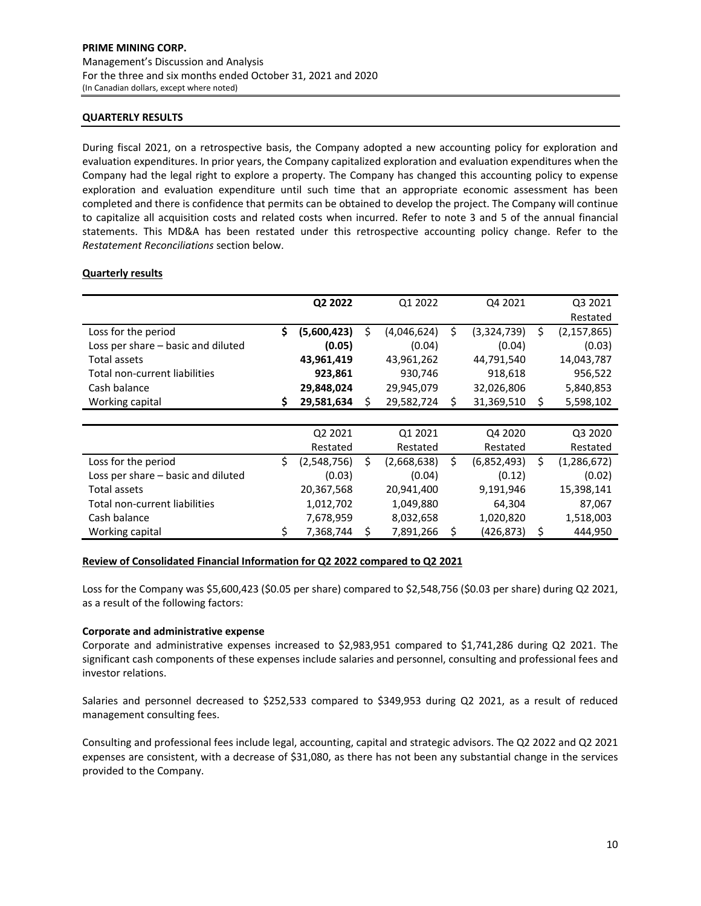### **QUARTERLY RESULTS**

During fiscal 2021, on a retrospective basis, the Company adopted a new accounting policy for exploration and evaluation expenditures. In prior years, the Company capitalized exploration and evaluation expenditures when the Company had the legal right to explore a property. The Company has changed this accounting policy to expense exploration and evaluation expenditure until such time that an appropriate economic assessment has been completed and there is confidence that permits can be obtained to develop the project. The Company will continue to capitalize all acquisition costs and related costs when incurred. Refer to note 3 and 5 of the annual financial statements. This MD&A has been restated under this retrospective accounting policy change. Refer to the *Restatement Reconciliations* section below.

# **Quarterly results**

|                                    |    | Q2 2022     | Q1 2022           |    | Q4 2021     | Q3 2021             |
|------------------------------------|----|-------------|-------------------|----|-------------|---------------------|
|                                    |    |             |                   |    |             | Restated            |
| Loss for the period                | \$ | (5,600,423) | \$<br>(4,046,624) | \$ | (3,324,739) | \$<br>(2, 157, 865) |
| Loss per share - basic and diluted |    | (0.05)      | (0.04)            |    | (0.04)      | (0.03)              |
| Total assets                       |    | 43,961,419  | 43,961,262        |    | 44,791,540  | 14,043,787          |
| Total non-current liabilities      |    | 923,861     | 930,746           |    | 918,618     | 956,522             |
| Cash balance                       |    | 29,848,024  | 29,945,079        |    | 32,026,806  | 5,840,853           |
| Working capital                    | S  | 29,581,634  | \$<br>29,582,724  | S  | 31,369,510  | \$<br>5,598,102     |
|                                    |    |             |                   |    |             |                     |
|                                    |    | Q2 2021     | Q1 2021           |    | Q4 2020     | Q3 2020             |
|                                    |    | Restated    | Restated          |    | Restated    | Restated            |
| Loss for the period                | Ś. | (2,548,756) | \$<br>(2,668,638) | Ś  | (6,852,493) | \$<br>(1, 286, 672) |
| Loss per share - basic and diluted |    | (0.03)      | (0.04)            |    | (0.12)      | (0.02)              |
| Total assets                       |    | 20,367,568  | 20,941,400        |    | 9,191,946   | 15,398,141          |
| Total non-current liabilities      |    | 1,012,702   | 1,049,880         |    | 64,304      | 87,067              |
| Cash balance                       |    | 7,678,959   | 8,032,658         |    | 1,020,820   | 1,518,003           |
| Working capital                    | \$ | 7,368,744   | \$<br>7,891,266   | \$ | (426, 873)  | \$<br>444,950       |

#### **Review of Consolidated Financial Information for Q2 2022 compared to Q2 2021**

Loss for the Company was \$5,600,423 (\$0.05 per share) compared to \$2,548,756 (\$0.03 per share) during Q2 2021, as a result of the following factors:

#### **Corporate and administrative expense**

Corporate and administrative expenses increased to \$2,983,951 compared to \$1,741,286 during Q2 2021. The significant cash components of these expenses include salaries and personnel, consulting and professional fees and investor relations.

Salaries and personnel decreased to \$252,533 compared to \$349,953 during Q2 2021, as a result of reduced management consulting fees.

Consulting and professional fees include legal, accounting, capital and strategic advisors. The Q2 2022 and Q2 2021 expenses are consistent, with a decrease of \$31,080, as there has not been any substantial change in the services provided to the Company.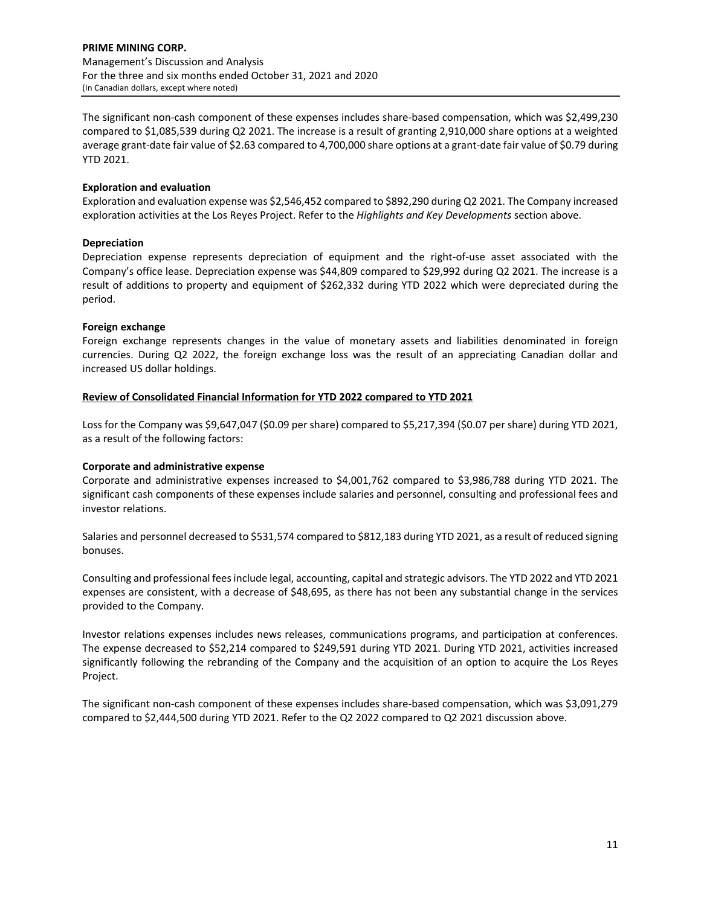The significant non-cash component of these expenses includes share-based compensation, which was \$2,499,230 compared to \$1,085,539 during Q2 2021. The increase is a result of granting 2,910,000 share options at a weighted average grant-date fair value of \$2.63 compared to 4,700,000 share options at a grant-date fair value of \$0.79 during YTD 2021.

# **Exploration and evaluation**

Exploration and evaluation expense was \$2,546,452 compared to \$892,290 during Q2 2021. The Company increased exploration activities at the Los Reyes Project. Refer to the *Highlights and Key Developments* section above.

# **Depreciation**

Depreciation expense represents depreciation of equipment and the right‐of‐use asset associated with the Company's office lease. Depreciation expense was \$44,809 compared to \$29,992 during Q2 2021. The increase is a result of additions to property and equipment of \$262,332 during YTD 2022 which were depreciated during the period.

#### **Foreign exchange**

Foreign exchange represents changes in the value of monetary assets and liabilities denominated in foreign currencies. During Q2 2022, the foreign exchange loss was the result of an appreciating Canadian dollar and increased US dollar holdings.

# **Review of Consolidated Financial Information for YTD 2022 compared to YTD 2021**

Loss for the Company was \$9,647,047 (\$0.09 per share) compared to \$5,217,394 (\$0.07 per share) during YTD 2021, as a result of the following factors:

#### **Corporate and administrative expense**

Corporate and administrative expenses increased to \$4,001,762 compared to \$3,986,788 during YTD 2021. The significant cash components of these expenses include salaries and personnel, consulting and professional fees and investor relations.

Salaries and personnel decreased to \$531,574 compared to \$812,183 during YTD 2021, as a result of reduced signing bonuses.

Consulting and professional feesinclude legal, accounting, capital and strategic advisors. The YTD 2022 and YTD 2021 expenses are consistent, with a decrease of \$48,695, as there has not been any substantial change in the services provided to the Company.

Investor relations expenses includes news releases, communications programs, and participation at conferences. The expense decreased to \$52,214 compared to \$249,591 during YTD 2021. During YTD 2021, activities increased significantly following the rebranding of the Company and the acquisition of an option to acquire the Los Reyes Project.

The significant non-cash component of these expenses includes share-based compensation, which was \$3,091,279 compared to \$2,444,500 during YTD 2021. Refer to the Q2 2022 compared to Q2 2021 discussion above.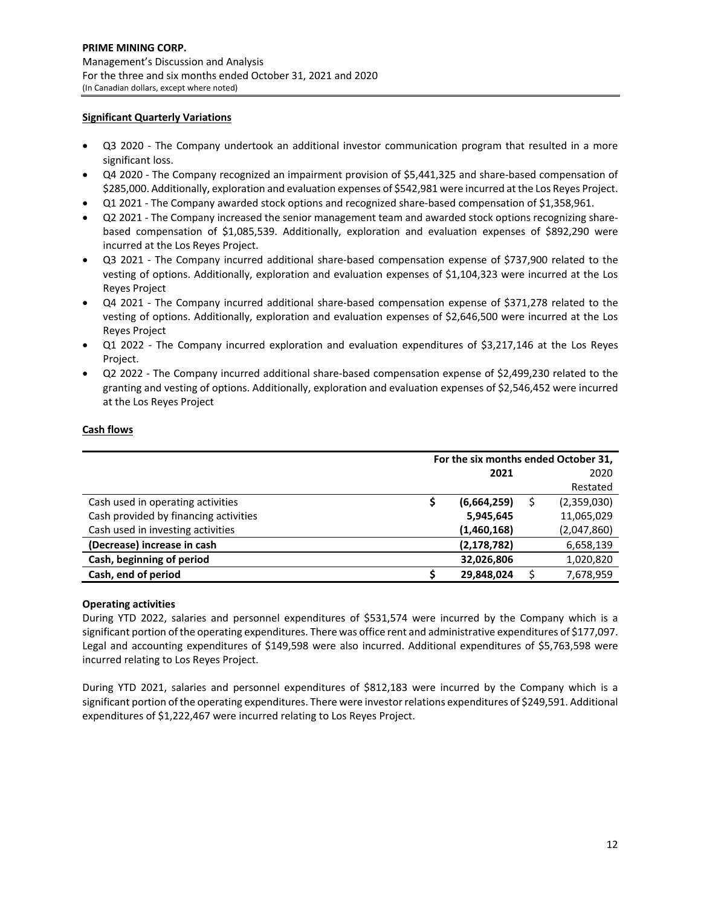# **Significant Quarterly Variations**

- Q3 2020 The Company undertook an additional investor communication program that resulted in a more significant loss.
- Q4 2020 The Company recognized an impairment provision of \$5,441,325 and share-based compensation of \$285,000. Additionally, exploration and evaluation expenses of \$542,981 were incurred at the Los Reyes Project.
- Q1 2021 The Company awarded stock options and recognized share-based compensation of \$1,358,961.
- Q2 2021 The Company increased the senior management team and awarded stock options recognizing sharebased compensation of \$1,085,539. Additionally, exploration and evaluation expenses of \$892,290 were incurred at the Los Reyes Project.
- Q3 2021 The Company incurred additional share-based compensation expense of \$737,900 related to the vesting of options. Additionally, exploration and evaluation expenses of \$1,104,323 were incurred at the Los Reyes Project
- Q4 2021 The Company incurred additional share-based compensation expense of \$371,278 related to the vesting of options. Additionally, exploration and evaluation expenses of \$2,646,500 were incurred at the Los Reyes Project
- Q1 2022 The Company incurred exploration and evaluation expenditures of \$3,217,146 at the Los Reyes Project.
- Q2 2022 ‐ The Company incurred additional share‐based compensation expense of \$2,499,230 related to the granting and vesting of options. Additionally, exploration and evaluation expenses of \$2,546,452 were incurred at the Los Reyes Project

# **Cash flows**

|                                       | For the six months ended October 31, |               |  |             |  |  |
|---------------------------------------|--------------------------------------|---------------|--|-------------|--|--|
|                                       |                                      | 2021          |  | 2020        |  |  |
|                                       |                                      |               |  | Restated    |  |  |
| Cash used in operating activities     |                                      | (6,664,259)   |  | (2,359,030) |  |  |
| Cash provided by financing activities |                                      | 5,945,645     |  | 11,065,029  |  |  |
| Cash used in investing activities     |                                      | (1,460,168)   |  | (2,047,860) |  |  |
| (Decrease) increase in cash           |                                      | (2, 178, 782) |  | 6,658,139   |  |  |
| Cash, beginning of period             |                                      | 32,026,806    |  | 1,020,820   |  |  |
| Cash, end of period                   |                                      | 29,848,024    |  | 7,678,959   |  |  |

#### **Operating activities**

During YTD 2022, salaries and personnel expenditures of \$531,574 were incurred by the Company which is a significant portion of the operating expenditures. There was office rent and administrative expenditures of \$177,097. Legal and accounting expenditures of \$149,598 were also incurred. Additional expenditures of \$5,763,598 were incurred relating to Los Reyes Project.

During YTD 2021, salaries and personnel expenditures of \$812,183 were incurred by the Company which is a significant portion of the operating expenditures. There were investor relations expenditures of \$249,591. Additional expenditures of \$1,222,467 were incurred relating to Los Reyes Project.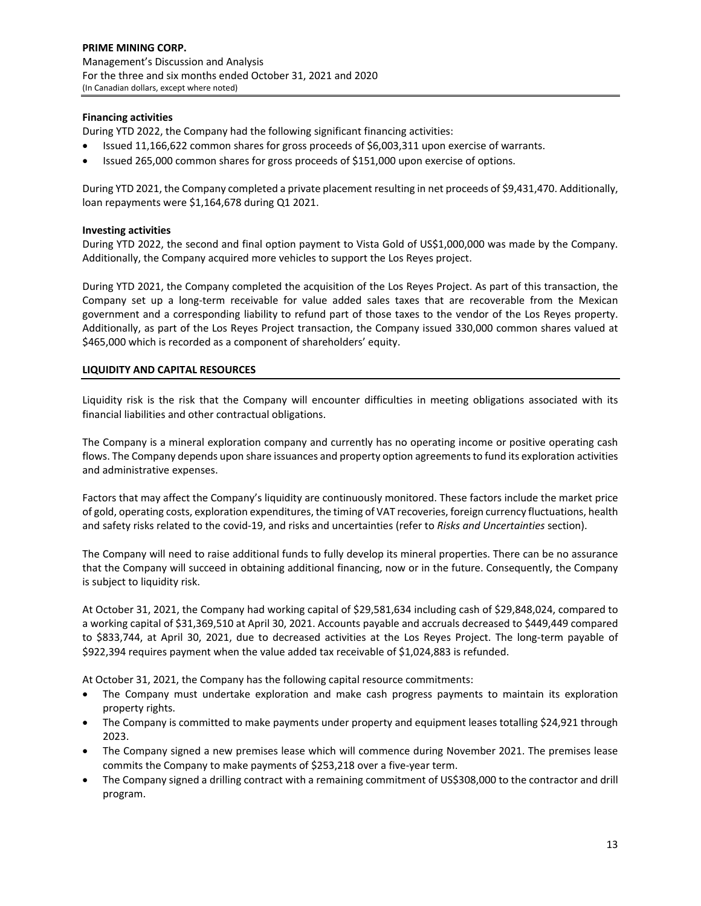# **Financing activities**

During YTD 2022, the Company had the following significant financing activities:

- Issued 11,166,622 common shares for gross proceeds of \$6,003,311 upon exercise of warrants.
- Issued 265,000 common shares for gross proceeds of \$151,000 upon exercise of options.

During YTD 2021, the Company completed a private placement resulting in net proceeds of \$9,431,470. Additionally, loan repayments were \$1,164,678 during Q1 2021.

#### **Investing activities**

During YTD 2022, the second and final option payment to Vista Gold of US\$1,000,000 was made by the Company. Additionally, the Company acquired more vehicles to support the Los Reyes project.

During YTD 2021, the Company completed the acquisition of the Los Reyes Project. As part of this transaction, the Company set up a long-term receivable for value added sales taxes that are recoverable from the Mexican government and a corresponding liability to refund part of those taxes to the vendor of the Los Reyes property. Additionally, as part of the Los Reyes Project transaction, the Company issued 330,000 common shares valued at \$465,000 which is recorded as a component of shareholders' equity.

#### **LIQUIDITY AND CAPITAL RESOURCES**

Liquidity risk is the risk that the Company will encounter difficulties in meeting obligations associated with its financial liabilities and other contractual obligations.

The Company is a mineral exploration company and currently has no operating income or positive operating cash flows. The Company depends upon share issuances and property option agreementsto fund its exploration activities and administrative expenses.

Factors that may affect the Company's liquidity are continuously monitored. These factors include the market price of gold, operating costs, exploration expenditures, the timing of VAT recoveries, foreign currency fluctuations, health and safety risks related to the covid‐19, and risks and uncertainties (refer to *Risks and Uncertainties* section).

The Company will need to raise additional funds to fully develop its mineral properties. There can be no assurance that the Company will succeed in obtaining additional financing, now or in the future. Consequently, the Company is subject to liquidity risk.

At October 31, 2021, the Company had working capital of \$29,581,634 including cash of \$29,848,024, compared to a working capital of \$31,369,510 at April 30, 2021. Accounts payable and accruals decreased to \$449,449 compared to \$833,744, at April 30, 2021, due to decreased activities at the Los Reyes Project. The long-term payable of \$922,394 requires payment when the value added tax receivable of \$1,024,883 is refunded.

At October 31, 2021, the Company has the following capital resource commitments:

- The Company must undertake exploration and make cash progress payments to maintain its exploration property rights.
- The Company is committed to make payments under property and equipment leases totalling \$24,921 through 2023.
- The Company signed a new premises lease which will commence during November 2021. The premises lease commits the Company to make payments of \$253,218 over a five‐year term.
- The Company signed a drilling contract with a remaining commitment of US\$308,000 to the contractor and drill program.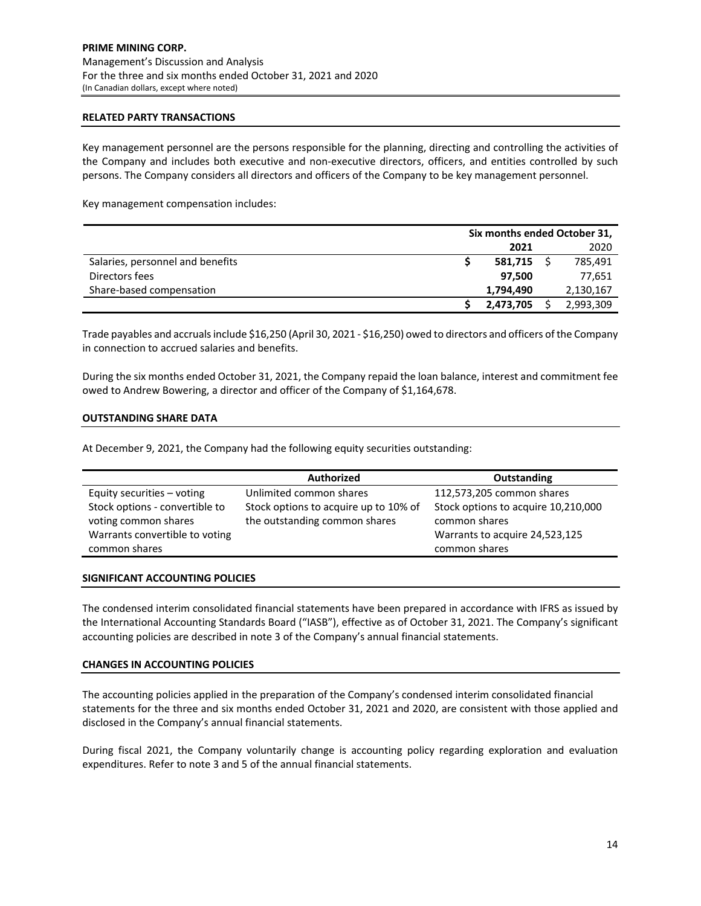#### **RELATED PARTY TRANSACTIONS**

Key management personnel are the persons responsible for the planning, directing and controlling the activities of the Company and includes both executive and non‐executive directors, officers, and entities controlled by such persons. The Company considers all directors and officers of the Company to be key management personnel.

Key management compensation includes:

|                                  | Six months ended October 31, |           |  |           |  |
|----------------------------------|------------------------------|-----------|--|-----------|--|
|                                  |                              | 2021      |  | 2020      |  |
| Salaries, personnel and benefits |                              | 581,715   |  | 785,491   |  |
| Directors fees                   |                              | 97.500    |  | 77,651    |  |
| Share-based compensation         |                              | 1.794.490 |  | 2,130,167 |  |
|                                  |                              | 2,473,705 |  | 2,993,309 |  |

Trade payables and accrualsinclude \$16,250 (April 30, 2021 ‐ \$16,250) owed to directors and officers of the Company in connection to accrued salaries and benefits.

During the six months ended October 31, 2021, the Company repaid the loan balance, interest and commitment fee owed to Andrew Bowering, a director and officer of the Company of \$1,164,678.

#### **OUTSTANDING SHARE DATA**

At December 9, 2021, the Company had the following equity securities outstanding:

|                                | <b>Authorized</b>                     | Outstanding                         |
|--------------------------------|---------------------------------------|-------------------------------------|
| Equity securities - voting     | Unlimited common shares               | 112,573,205 common shares           |
| Stock options - convertible to | Stock options to acquire up to 10% of | Stock options to acquire 10,210,000 |
| voting common shares           | the outstanding common shares         | common shares                       |
| Warrants convertible to voting |                                       | Warrants to acquire 24,523,125      |
| common shares                  |                                       | common shares                       |

#### **SIGNIFICANT ACCOUNTING POLICIES**

The condensed interim consolidated financial statements have been prepared in accordance with IFRS as issued by the International Accounting Standards Board ("IASB"), effective as of October 31, 2021. The Company's significant accounting policies are described in note 3 of the Company's annual financial statements.

#### **CHANGES IN ACCOUNTING POLICIES**

The accounting policies applied in the preparation of the Company's condensed interim consolidated financial statements for the three and six months ended October 31, 2021 and 2020, are consistent with those applied and disclosed in the Company's annual financial statements.

During fiscal 2021, the Company voluntarily change is accounting policy regarding exploration and evaluation expenditures. Refer to note 3 and 5 of the annual financial statements.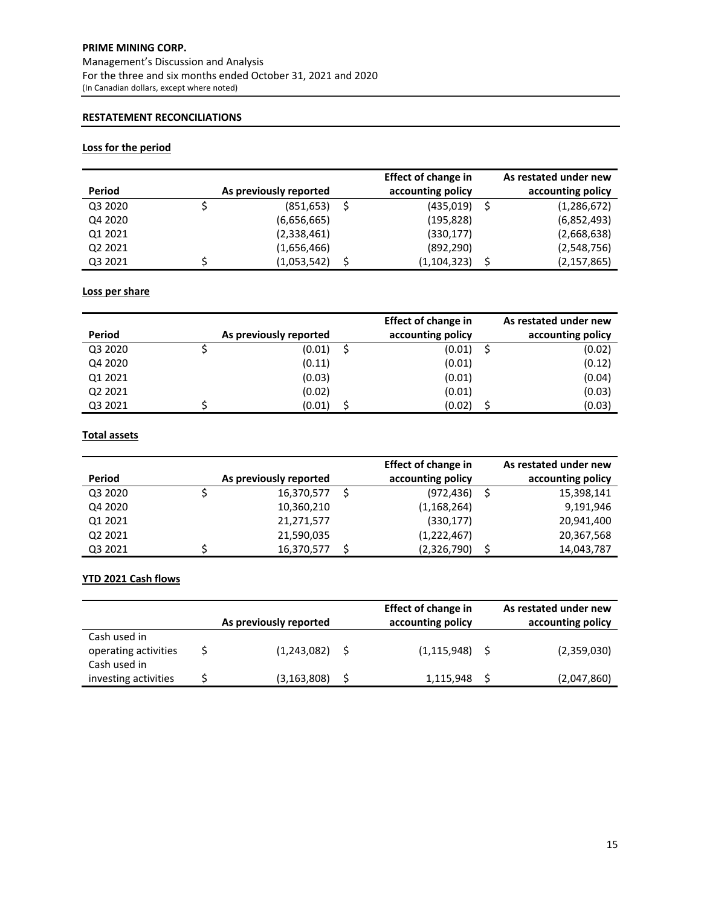# **PRIME MINING CORP.** Management's Discussion and Analysis For the three and six months ended October 31, 2021 and 2020 (In Canadian dollars, except where noted)

# **RESTATEMENT RECONCILIATIONS**

# **Loss for the period**

|         |                        | <b>Effect of change in</b> | As restated under new |
|---------|------------------------|----------------------------|-----------------------|
| Period  | As previously reported | accounting policy          | accounting policy     |
| Q3 2020 | (851,653)              | (435,019)                  | (1, 286, 672)         |
| Q4 2020 | (6,656,665)            | (195,828)                  | (6,852,493)           |
| Q1 2021 | (2,338,461)            | (330,177)                  | (2,668,638)           |
| Q2 2021 | (1,656,466)            | (892, 290)                 | (2,548,756)           |
| Q3 2021 | (1,053,542)            | (1,104,323)                | (2, 157, 865)         |

# **Loss per share**

|         |                        | <b>Effect of change in</b> | As restated under new |
|---------|------------------------|----------------------------|-----------------------|
| Period  | As previously reported | accounting policy          | accounting policy     |
| Q3 2020 | (0.01)                 | (0.01)                     | (0.02)                |
| Q4 2020 | (0.11)                 | (0.01)                     | (0.12)                |
| Q1 2021 | (0.03)                 | (0.01)                     | (0.04)                |
| Q2 2021 | (0.02)                 | (0.01)                     | (0.03)                |
| Q3 2021 | (0.01)                 | (0.02)                     | (0.03)                |

# **Total assets**

| Period  | As previously reported | <b>Effect of change in</b><br>accounting policy | As restated under new<br>accounting policy |
|---------|------------------------|-------------------------------------------------|--------------------------------------------|
| Q3 2020 | 16,370,577             | (972, 436)                                      | 15,398,141                                 |
| Q4 2020 | 10,360,210             | (1,168,264)                                     | 9,191,946                                  |
| Q1 2021 | 21,271,577             | (330, 177)                                      | 20,941,400                                 |
| Q2 2021 | 21,590,035             | (1,222,467)                                     | 20,367,568                                 |
| Q3 2021 | 16,370,577             | (2,326,790)                                     | 14,043,787                                 |

# **YTD 2021 Cash flows**

|                                                      | As previously reported | <b>Effect of change in</b><br>accounting policy | As restated under new<br>accounting policy |
|------------------------------------------------------|------------------------|-------------------------------------------------|--------------------------------------------|
| Cash used in<br>operating activities<br>Cash used in | $(1,243,082)$ \$       | $(1, 115, 948)$ \$                              | (2,359,030)                                |
| investing activities                                 | (3, 163, 808)          | 1,115,948                                       | (2,047,860)                                |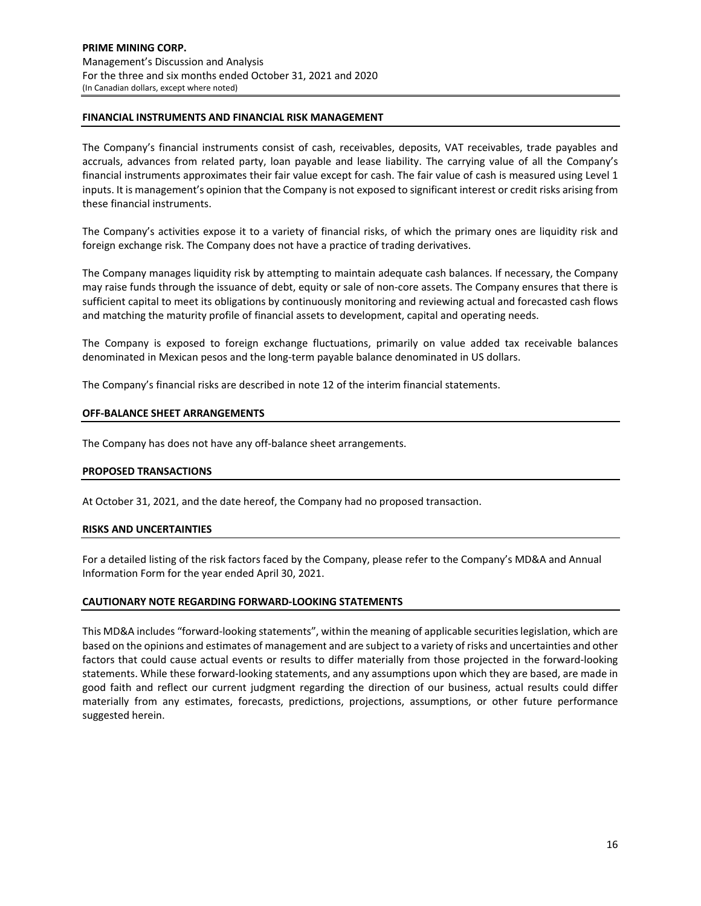### **FINANCIAL INSTRUMENTS AND FINANCIAL RISK MANAGEMENT**

The Company's financial instruments consist of cash, receivables, deposits, VAT receivables, trade payables and accruals, advances from related party, loan payable and lease liability. The carrying value of all the Company's financial instruments approximates their fair value except for cash. The fair value of cash is measured using Level 1 inputs. It is management's opinion that the Company is not exposed to significant interest or credit risks arising from these financial instruments.

The Company's activities expose it to a variety of financial risks, of which the primary ones are liquidity risk and foreign exchange risk. The Company does not have a practice of trading derivatives.

The Company manages liquidity risk by attempting to maintain adequate cash balances. If necessary, the Company may raise funds through the issuance of debt, equity or sale of non-core assets. The Company ensures that there is sufficient capital to meet its obligations by continuously monitoring and reviewing actual and forecasted cash flows and matching the maturity profile of financial assets to development, capital and operating needs.

The Company is exposed to foreign exchange fluctuations, primarily on value added tax receivable balances denominated in Mexican pesos and the long‐term payable balance denominated in US dollars.

The Company's financial risks are described in note 12 of the interim financial statements.

#### **OFF‐BALANCE SHEET ARRANGEMENTS**

The Company has does not have any off‐balance sheet arrangements.

#### **PROPOSED TRANSACTIONS**

At October 31, 2021, and the date hereof, the Company had no proposed transaction.

#### **RISKS AND UNCERTAINTIES**

For a detailed listing of the risk factors faced by the Company, please refer to the Company's MD&A and Annual Information Form for the year ended April 30, 2021.

#### **CAUTIONARY NOTE REGARDING FORWARD‐LOOKING STATEMENTS**

This MD&A includes "forward‐looking statements", within the meaning of applicable securitieslegislation, which are based on the opinions and estimates of management and are subject to a variety of risks and uncertainties and other factors that could cause actual events or results to differ materially from those projected in the forward‐looking statements. While these forward‐looking statements, and any assumptions upon which they are based, are made in good faith and reflect our current judgment regarding the direction of our business, actual results could differ materially from any estimates, forecasts, predictions, projections, assumptions, or other future performance suggested herein.